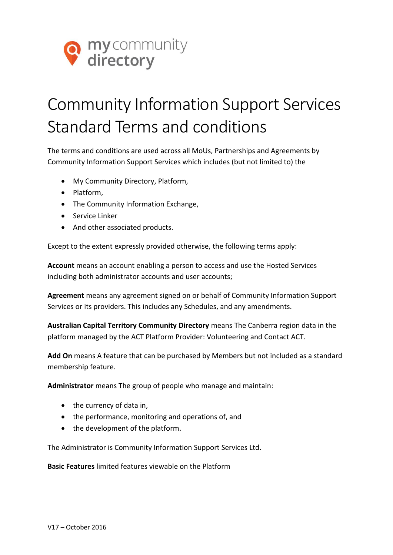

## Community Information Support Services Standard Terms and conditions

The terms and conditions are used across all MoUs, Partnerships and Agreements by Community Information Support Services which includes (but not limited to) the

- My Community Directory, Platform,
- Platform.
- The Community Information Exchange,
- Service Linker
- And other associated products.

Except to the extent expressly provided otherwise, the following terms apply:

**Account** means an account enabling a person to access and use the Hosted Services including both administrator accounts and user accounts;

**Agreement** means any agreement signed on or behalf of Community Information Support Services or its providers. This includes any Schedules, and any amendments.

**Australian Capital Territory Community Directory** means The Canberra region data in the platform managed by the ACT Platform Provider: Volunteering and Contact ACT.

**Add On** means A feature that can be purchased by Members but not included as a standard membership feature.

**Administrator** means The group of people who manage and maintain:

- $\bullet$  the currency of data in,
- the performance, monitoring and operations of, and
- the development of the platform.

The Administrator is Community Information Support Services Ltd.

**Basic Features** limited features viewable on the Platform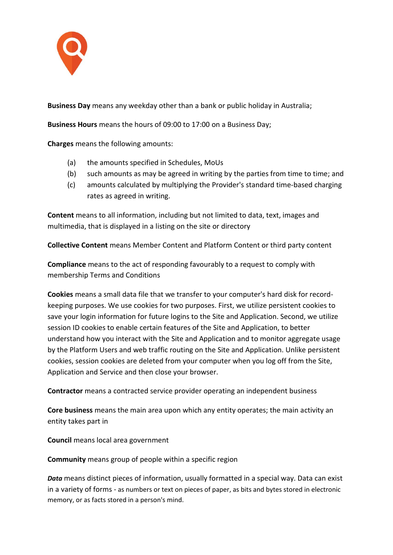

**Business Day** means any weekday other than a bank or public holiday in Australia;

**Business Hours** means the hours of 09:00 to 17:00 on a Business Day;

**Charges** means the following amounts:

- (a) the amounts specified in Schedules, MoUs
- (b) such amounts as may be agreed in writing by the parties from time to time; and
- (c) amounts calculated by multiplying the Provider's standard time-based charging rates as agreed in writing.

**Content** means to all information, including but not limited to data, text, images and multimedia, that is displayed in a listing on the site or directory

**Collective Content** means Member Content and Platform Content or third party content

**Compliance** means to the act of responding favourably to a request to comply with membership Terms and Conditions

**Cookies** means a small data file that we transfer to your computer's hard disk for recordkeeping purposes. We use cookies for two purposes. First, we utilize persistent cookies to save your login information for future logins to the Site and Application. Second, we utilize session ID cookies to enable certain features of the Site and Application, to better understand how you interact with the Site and Application and to monitor aggregate usage by the Platform Users and web traffic routing on the Site and Application. Unlike persistent cookies, session cookies are deleted from your computer when you log off from the Site, Application and Service and then close your browser.

**Contractor** means a contracted service provider operating an independent business

**Core business** means the main area upon which any entity operates; the main activity an entity takes part in

**Council** means local area government

**Community** means group of people within a specific region

*Data* means distinct pieces of information, usually formatted in a special way. Data can exist in a variety of forms - as numbers or text on pieces of paper, as bits and bytes stored in electronic memory, or as facts stored in a person's mind.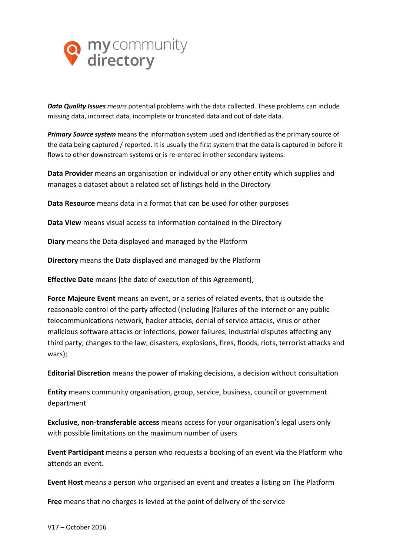

*Data Quality Issues means* potential problems with the data collected. These problems can include missing data, incorrect data, incomplete or truncated data and out of date data.

*Primary Source system* means the information system used and identified as the primary source of the data being captured / reported. It is usually the first system that the data is captured in before it flows to other downstream systems or is re-entered in other secondary systems.

**Data Provider** means an organisation or individual or any other entity which supplies and manages a dataset about a related set of listings held in the Directory

**Data Resource** means data in a format that can be used for other purposes

**Data View** means visual access to information contained in the Directory

**Diary** means the Data displayed and managed by the Platform

**Directory** means the Data displayed and managed by the Platform

**Effective Date** means [the date of execution of this Agreement];

**Force Majeure Event** means an event, or a series of related events, that is outside the reasonable control of the party affected (including [failures of the internet or any public telecommunications network, hacker attacks, denial of service attacks, virus or other malicious software attacks or infections, power failures, industrial disputes affecting any third party, changes to the law, disasters, explosions, fires, floods, riots, terrorist attacks and wars);

**Editorial Discretion** means the power of making decisions, a decision without consultation

**Entity** means community organisation, group, service, business, council or government department

**Exclusive, non-transferable access** means access for your organisation's legal users only with possible limitations on the maximum number of users

**Event Participant** means a person who requests a booking of an event via the Platform who attends an event.

**Event Host** means a person who organised an event and creates a listing on The Platform

**Free** means that no charges is levied at the point of delivery of the service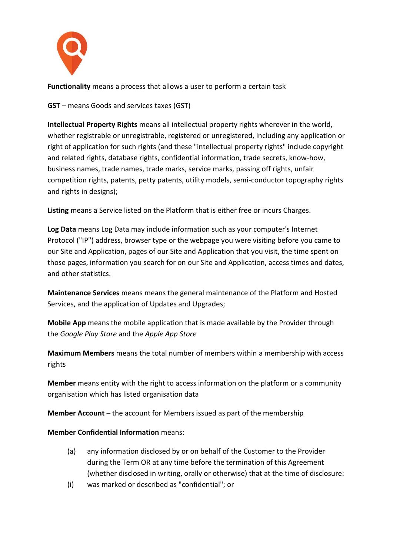

**Functionality** means a process that allows a user to perform a certain task

**GST** – means Goods and services taxes (GST)

**Intellectual Property Rights** means all intellectual property rights wherever in the world, whether registrable or unregistrable, registered or unregistered, including any application or right of application for such rights (and these "intellectual property rights" include copyright and related rights, database rights, confidential information, trade secrets, know-how, business names, trade names, trade marks, service marks, passing off rights, unfair competition rights, patents, petty patents, utility models, semi-conductor topography rights and rights in designs);

**Listing** means a Service listed on the Platform that is either free or incurs Charges.

**Log Data** means Log Data may include information such as your computer's Internet Protocol ("IP") address, browser type or the webpage you were visiting before you came to our Site and Application, pages of our Site and Application that you visit, the time spent on those pages, information you search for on our Site and Application, access times and dates, and other statistics.

**Maintenance Services** means means the general maintenance of the Platform and Hosted Services, and the application of Updates and Upgrades;

**Mobile App** means the mobile application that is made available by the Provider through the *Google Play Store* and the *Apple App Store*

**Maximum Members** means the total number of members within a membership with access rights

**Member** means entity with the right to access information on the platform or a community organisation which has listed organisation data

**Member Account** – the account for Members issued as part of the membership

## **Member Confidential Information** means:

- (a) any information disclosed by or on behalf of the Customer to the Provider during the Term OR at any time before the termination of this Agreement (whether disclosed in writing, orally or otherwise) that at the time of disclosure:
- (i) was marked or described as "confidential"; or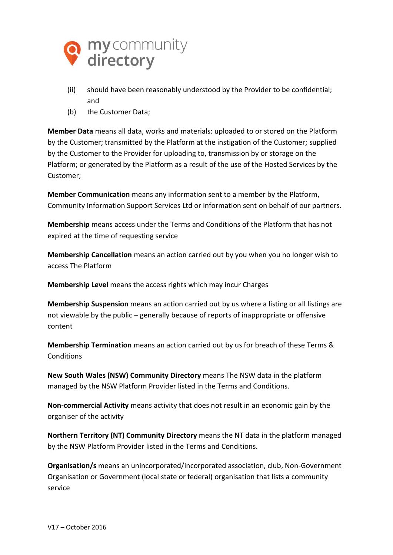

- (ii) should have been reasonably understood by the Provider to be confidential; and
- (b) the Customer Data;

**Member Data** means all data, works and materials: uploaded to or stored on the Platform by the Customer; transmitted by the Platform at the instigation of the Customer; supplied by the Customer to the Provider for uploading to, transmission by or storage on the Platform; or generated by the Platform as a result of the use of the Hosted Services by the Customer;

**Member Communication** means any information sent to a member by the Platform, Community Information Support Services Ltd or information sent on behalf of our partners.

**Membership** means access under the Terms and Conditions of the Platform that has not expired at the time of requesting service

**Membership Cancellation** means an action carried out by you when you no longer wish to access The Platform

**Membership Level** means the access rights which may incur Charges

**Membership Suspension** means an action carried out by us where a listing or all listings are not viewable by the public – generally because of reports of inappropriate or offensive content

**Membership Termination** means an action carried out by us for breach of these Terms & **Conditions** 

**New South Wales (NSW) Community Directory** means The NSW data in the platform managed by the NSW Platform Provider listed in the Terms and Conditions.

**Non-commercial Activity** means activity that does not result in an economic gain by the organiser of the activity

**Northern Territory (NT) Community Directory** means the NT data in the platform managed by the NSW Platform Provider listed in the Terms and Conditions.

**Organisation/s** means an unincorporated/incorporated association, club, Non-Government Organisation or Government (local state or federal) organisation that lists a community service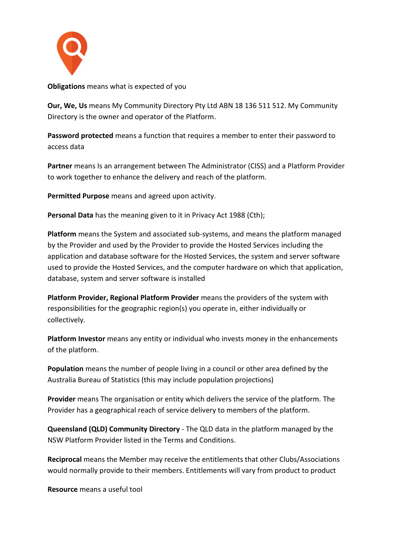

**Obligations** means what is expected of you

**Our, We, Us** means My Community Directory Pty Ltd ABN 18 136 511 512. My Community Directory is the owner and operator of the Platform.

**Password protected** means a function that requires a member to enter their password to access data

**Partner** means Is an arrangement between The Administrator (CISS) and a Platform Provider to work together to enhance the delivery and reach of the platform.

**Permitted Purpose** means and agreed upon activity.

**Personal Data** has the meaning given to it in Privacy Act 1988 (Cth);

**Platform** means the System and associated sub-systems, and means the platform managed by the Provider and used by the Provider to provide the Hosted Services including the application and database software for the Hosted Services, the system and server software used to provide the Hosted Services, and the computer hardware on which that application, database, system and server software is installed

**Platform Provider, Regional Platform Provider** means the providers of the system with responsibilities for the geographic region(s) you operate in, either individually or collectively.

**Platform Investor** means any entity or individual who invests money in the enhancements of the platform.

**Population** means the number of people living in a council or other area defined by the Australia Bureau of Statistics (this may include population projections)

**Provider** means The organisation or entity which delivers the service of the platform. The Provider has a geographical reach of service delivery to members of the platform.

**Queensland (QLD) Community Directory** - The QLD data in the platform managed by the NSW Platform Provider listed in the Terms and Conditions.

**Reciprocal** means the Member may receive the entitlements that other Clubs/Associations would normally provide to their members. Entitlements will vary from product to product

**Resource** means a useful tool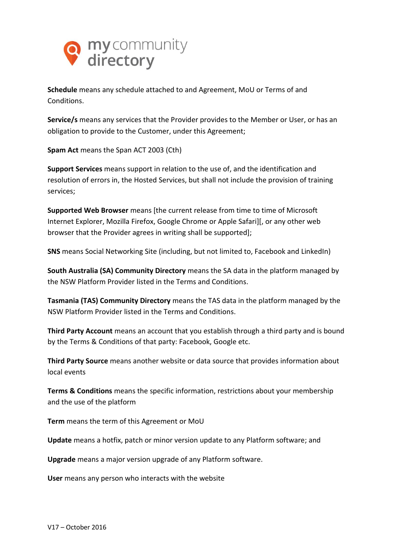

**Schedule** means any schedule attached to and Agreement, MoU or Terms of and **Conditions** 

**Service/s** means any services that the Provider provides to the Member or User, or has an obligation to provide to the Customer, under this Agreement;

**Spam Act** means the Span ACT 2003 (Cth)

**Support Services** means support in relation to the use of, and the identification and resolution of errors in, the Hosted Services, but shall not include the provision of training services;

**Supported Web Browser** means [the current release from time to time of Microsoft Internet Explorer, Mozilla Firefox, Google Chrome or Apple Safari][, or any other web browser that the Provider agrees in writing shall be supported];

**SNS** means Social Networking Site (including, but not limited to, Facebook and LinkedIn)

**South Australia (SA) Community Directory** means the SA data in the platform managed by the NSW Platform Provider listed in the Terms and Conditions.

**Tasmania (TAS) Community Directory** means the TAS data in the platform managed by the NSW Platform Provider listed in the Terms and Conditions.

**Third Party Account** means an account that you establish through a third party and is bound by the Terms & Conditions of that party: Facebook, Google etc.

**Third Party Source** means another website or data source that provides information about local events

**Terms & Conditions** means the specific information, restrictions about your membership and the use of [the](http://www.mycommunitydirectory.com.au/) platform

**Term** means the term of this Agreement or MoU

**Update** means a hotfix, patch or minor version update to any Platform software; and

**Upgrade** means a major version upgrade of any Platform software.

**User** means any person who interacts with the website